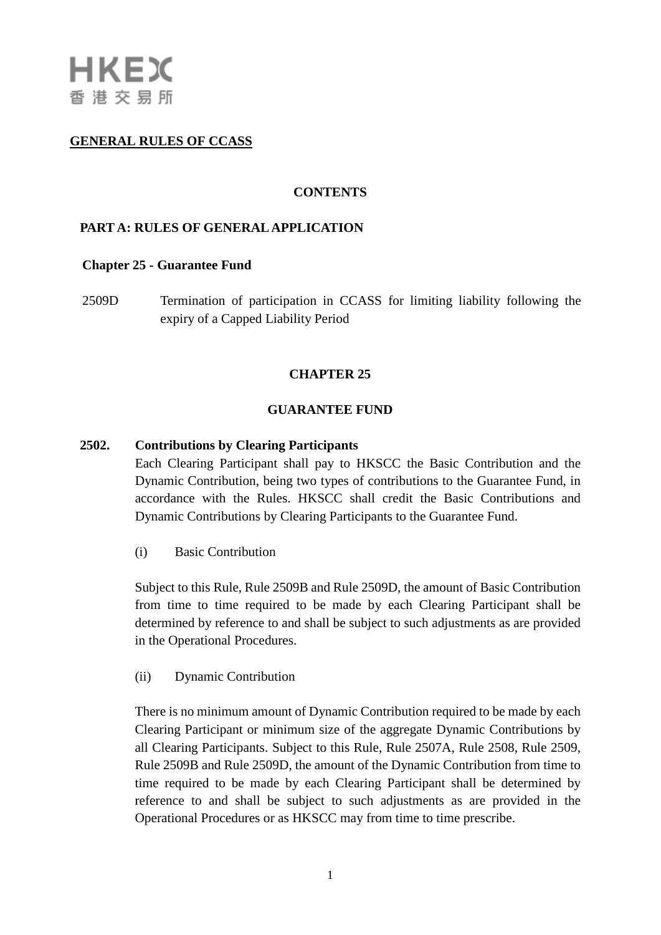# **GENERAL RULES OF CCASS**

### **CONTENTS**

## **PART A: RULES OF GENERAL APPLICATION**

#### **Chapter 25 - [Guarantee Fund](http://www.hkex.com.hk/eng/rulesreg/clearrules/ccassgr/documents/r25.pdf)**

2509D Termination of participation in CCASS for limiting liability following the expiry of a Capped Liability Period

#### **CHAPTER 25**

#### **GUARANTEE FUND**

#### **2502. Contributions by Clearing Participants**

Each Clearing Participant shall pay to HKSCC the Basic Contribution and the Dynamic Contribution, being two types of contributions to the Guarantee Fund, in accordance with the Rules. HKSCC shall credit the Basic Contributions and Dynamic Contributions by Clearing Participants to the Guarantee Fund.

(i) Basic Contribution

Subject to this Rule, Rule 2509B and Rule 2509D, the amount of Basic Contribution from time to time required to be made by each Clearing Participant shall be determined by reference to and shall be subject to such adjustments as are provided in the Operational Procedures.

(ii) Dynamic Contribution

There is no minimum amount of Dynamic Contribution required to be made by each Clearing Participant or minimum size of the aggregate Dynamic Contributions by all Clearing Participants. Subject to this Rule, Rule 2507A, Rule 2508, Rule 2509, Rule 2509B and Rule 2509D, the amount of the Dynamic Contribution from time to time required to be made by each Clearing Participant shall be determined by reference to and shall be subject to such adjustments as are provided in the Operational Procedures or as HKSCC may from time to time prescribe.